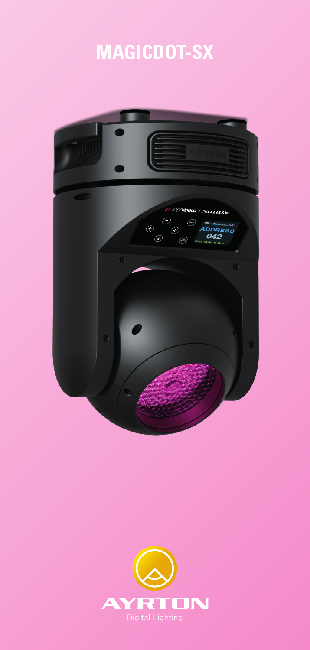# **MAGICDOT-SX**



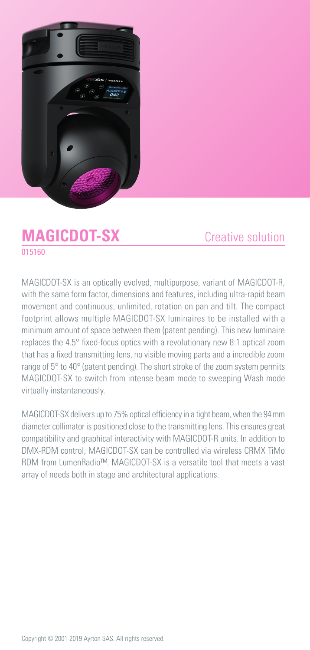

## **MAGICDOT-SX** 015160

### Creative solution

MAGICDOT-SX is an optically evolved, multipurpose, variant of MAGICDOT-R, with the same form factor, dimensions and features, including ultra-rapid beam movement and continuous, unlimited, rotation on pan and tilt. The compact footprint allows multiple MAGICDOT-SX luminaires to be installed with a minimum amount of space between them (patent pending). This new luminaire replaces the 4.5° fixed-focus optics with a revolutionary new 8:1 optical zoom that has a fixed transmitting lens, no visible moving parts and a incredible zoom range of 5° to 40° (patent pending). The short stroke of the zoom system permits MAGICDOT-SX to switch from intense beam mode to sweeping Wash mode virtually instantaneously.

MAGICDOT-SX delivers up to 75% optical efficiency in a tight beam, when the 94 mm diameter collimator is positioned close to the transmitting lens. This ensures great compatibility and graphical interactivity with MAGICDOT-R units. In addition to DMX-RDM control, MAGICDOT-SX can be controlled via wireless CRMX TiMo RDM from LumenRadio™. MAGICDOT-SX is a versatile tool that meets a vast array of needs both in stage and architectural applications.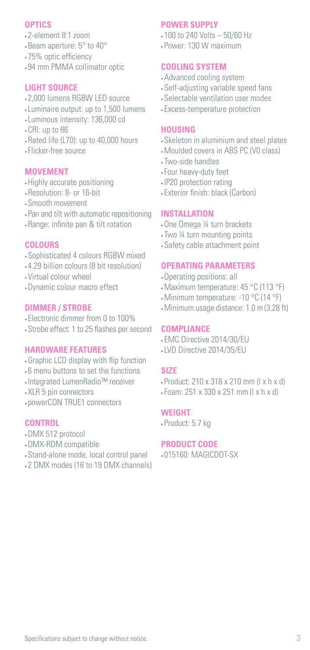#### **OPTICS**

- 2-element 8:1 zoom
- Beam aperture: 5° to 40°
- 75% optic efficiency
- 94 mm PMMA collimator optic

#### **LIGHT SOURCE**

- 2,000 lumens RGBW LED source
- Luminaire output: up to 1,500 lumens
- Luminous intensity: 136,000 cd
- CRI: up to 86
- Rated life (L70): up to 40,000 hours
- Flicker-free source

#### **MOVEMENT**

- •Highly accurate positioning
- Resolution: 8- or 16-bit
- Smooth movement
- Pan and tilt with automatic repositioning
- Range: infinite pan & tilt rotation

#### **COLOURS**

- Sophisticated 4 colours RGBW mixed
- 4.29 billion colours (8 bit resolution)
- Virtual colour wheel
- •Dynamic colour macro effect

#### **DIMMER / STROBE**

- Electronic dimmer from 0 to 100%
- Strobe effect: 1 to 25 flashes per second

#### **HARDWARE FEATURES**

- •Graphic LCD display with flip function
- 6 menu buttons to set the functions
- Integrated LumenRadio™ receiver
- XLR 5 pin connectors
- powerCON TRUE1 connectors

#### **CONTROL**

- •DMX 512 protocol
- •DMX-RDM compatible
- Stand-alone mode, local control panel
- 2 DMX modes (16 to 19 DMX channels)

#### **POWER SUPPLY**

- 100 to 240 Volts 50/60 Hz
- Power: 130 W maximum

#### **COOLING SYSTEM**

- •Advanced cooling system
- Self-adjusting variable speed fans
- Selectable ventilation user modes
- Excess-temperature protection

#### **HOUSING**

- Skeleton in aluminium and steel plates
- •Moulded covers in ABS PC (V0 class)
- Two-side handles
- Four heavy-duty feet
- IP20 protection rating
- Exterior finish: black (Carbon)

#### **INSTALLATION**

- •One Omega ¼ turn brackets
- Two ¼ turn mounting points
- Safety cable attachment point

#### **OPERATING PARAMETERS**

- •Operating positions: all
- •Maximum temperature: 45 °C (113 °F)
- •Minimum temperature: -10 °C (14 °F)
- •Minimum usage distance: 1.0 m (3.28 ft)

#### **COMPLIANCE**

- EMC Directive 2014/30/EU
- LVD Directive 2014/35/EU

#### **SIZE**

- Product: 210 x 318 x 210 mm (l x h x d)
- Foam: 251 x 330 x 251 mm (l x h x d)

#### **WEIGHT**

• Product: 5.7 kg

#### **PRODUCT CODE**

• 015160: MAGICDOT-SX